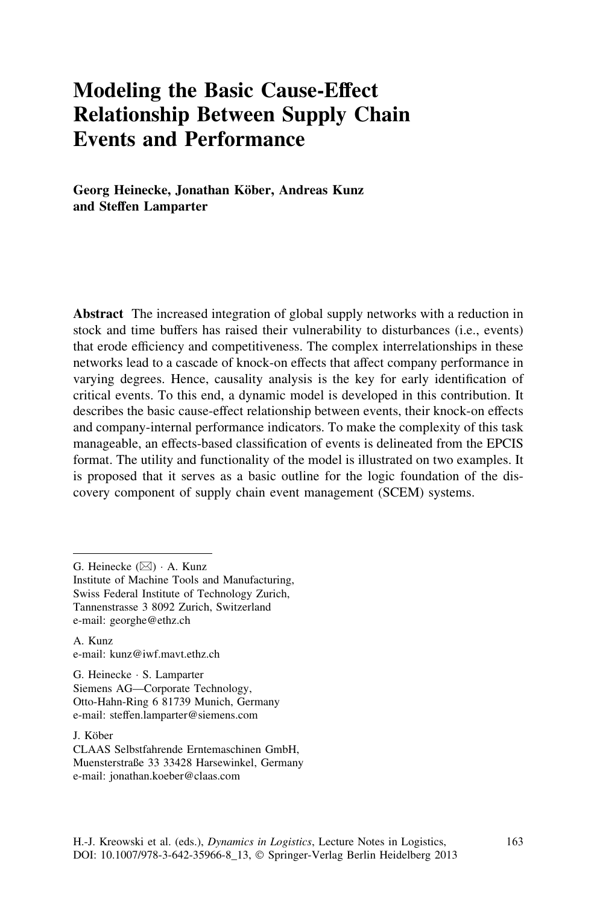# Modeling the Basic Cause-Effect Relationship Between Supply Chain Events and Performance

Georg Heinecke, Jonathan Köber, Andreas Kunz and Steffen Lamparter

Abstract The increased integration of global supply networks with a reduction in stock and time buffers has raised their vulnerability to disturbances (i.e., events) that erode efficiency and competitiveness. The complex interrelationships in these networks lead to a cascade of knock-on effects that affect company performance in varying degrees. Hence, causality analysis is the key for early identification of critical events. To this end, a dynamic model is developed in this contribution. It describes the basic cause-effect relationship between events, their knock-on effects and company-internal performance indicators. To make the complexity of this task manageable, an effects-based classification of events is delineated from the EPCIS format. The utility and functionality of the model is illustrated on two examples. It is proposed that it serves as a basic outline for the logic foundation of the discovery component of supply chain event management (SCEM) systems.

G. Heinecke  $(\boxtimes) \cdot$  A. Kunz

Institute of Machine Tools and Manufacturing, Swiss Federal Institute of Technology Zurich, Tannenstrasse 3 8092 Zurich, Switzerland e-mail: georghe@ethz.ch

A. Kunz e-mail: kunz@iwf.mavt.ethz.ch

G. Heinecke - S. Lamparter Siemens AG—Corporate Technology, Otto-Hahn-Ring 6 81739 Munich, Germany e-mail: steffen.lamparter@siemens.com

J. Köber

CLAAS Selbstfahrende Erntemaschinen GmbH, Muensterstraße 33 33428 Harsewinkel, Germany e-mail: jonathan.koeber@claas.com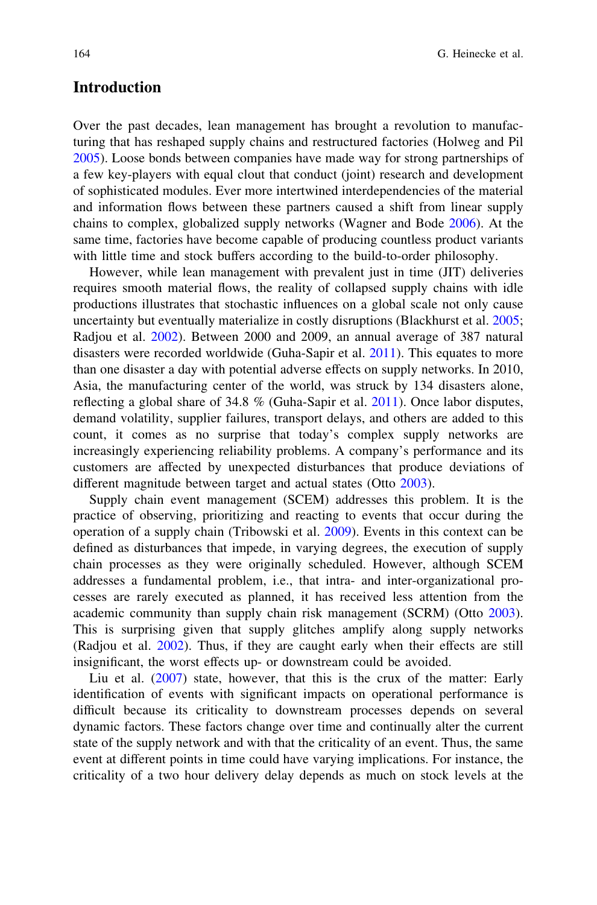# Introduction

Over the past decades, lean management has brought a revolution to manufacturing that has reshaped supply chains and restructured factories (Holweg and Pil [2005\)](#page-11-0). Loose bonds between companies have made way for strong partnerships of a few key-players with equal clout that conduct (joint) research and development of sophisticated modules. Ever more intertwined interdependencies of the material and information flows between these partners caused a shift from linear supply chains to complex, globalized supply networks (Wagner and Bode [2006\)](#page-11-0). At the same time, factories have become capable of producing countless product variants with little time and stock buffers according to the build-to-order philosophy.

However, while lean management with prevalent just in time (JIT) deliveries requires smooth material flows, the reality of collapsed supply chains with idle productions illustrates that stochastic influences on a global scale not only cause uncertainty but eventually materialize in costly disruptions (Blackhurst et al. [2005;](#page-10-0) Radjou et al. [2002](#page-11-0)). Between 2000 and 2009, an annual average of 387 natural disasters were recorded worldwide (Guha-Sapir et al. [2011\)](#page-11-0). This equates to more than one disaster a day with potential adverse effects on supply networks. In 2010, Asia, the manufacturing center of the world, was struck by 134 disasters alone, reflecting a global share of 34.8 % (Guha-Sapir et al. [2011\)](#page-11-0). Once labor disputes, demand volatility, supplier failures, transport delays, and others are added to this count, it comes as no surprise that today's complex supply networks are increasingly experiencing reliability problems. A company's performance and its customers are affected by unexpected disturbances that produce deviations of different magnitude between target and actual states (Otto [2003\)](#page-11-0).

Supply chain event management (SCEM) addresses this problem. It is the practice of observing, prioritizing and reacting to events that occur during the operation of a supply chain (Tribowski et al. [2009\)](#page-11-0). Events in this context can be defined as disturbances that impede, in varying degrees, the execution of supply chain processes as they were originally scheduled. However, although SCEM addresses a fundamental problem, i.e., that intra- and inter-organizational processes are rarely executed as planned, it has received less attention from the academic community than supply chain risk management (SCRM) (Otto [2003\)](#page-11-0). This is surprising given that supply glitches amplify along supply networks (Radjou et al. [2002\)](#page-11-0). Thus, if they are caught early when their effects are still insignificant, the worst effects up- or downstream could be avoided.

Liu et al. ([2007](#page-11-0)) state, however, that this is the crux of the matter: Early identification of events with significant impacts on operational performance is difficult because its criticality to downstream processes depends on several dynamic factors. These factors change over time and continually alter the current state of the supply network and with that the criticality of an event. Thus, the same event at different points in time could have varying implications. For instance, the criticality of a two hour delivery delay depends as much on stock levels at the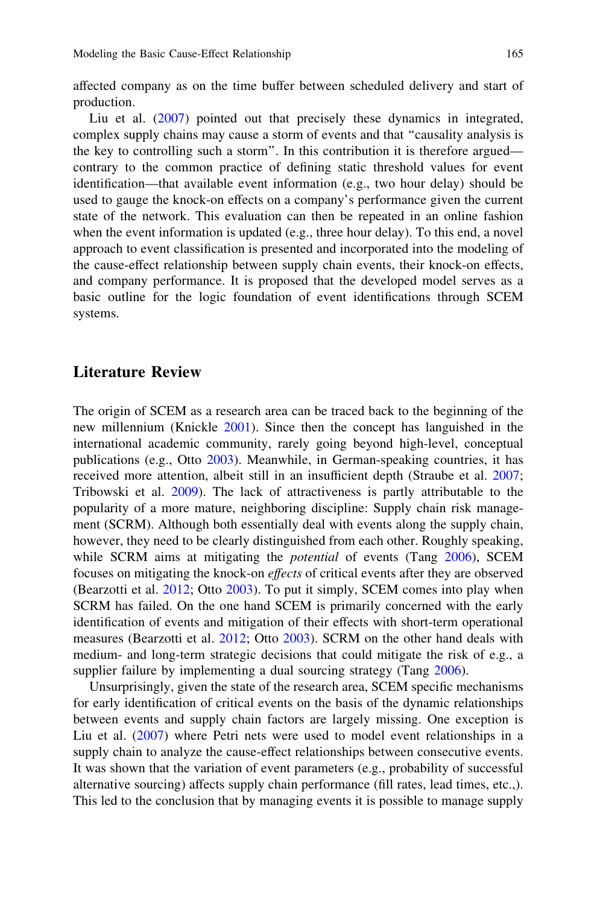affected company as on the time buffer between scheduled delivery and start of production.

Liu et al. [\(2007](#page-11-0)) pointed out that precisely these dynamics in integrated, complex supply chains may cause a storm of events and that ''causality analysis is the key to controlling such a storm''. In this contribution it is therefore argued contrary to the common practice of defining static threshold values for event identification—that available event information (e.g., two hour delay) should be used to gauge the knock-on effects on a company's performance given the current state of the network. This evaluation can then be repeated in an online fashion when the event information is updated (e.g., three hour delay). To this end, a novel approach to event classification is presented and incorporated into the modeling of the cause-effect relationship between supply chain events, their knock-on effects, and company performance. It is proposed that the developed model serves as a basic outline for the logic foundation of event identifications through SCEM systems.

# Literature Review

The origin of SCEM as a research area can be traced back to the beginning of the new millennium (Knickle [2001\)](#page-11-0). Since then the concept has languished in the international academic community, rarely going beyond high-level, conceptual publications (e.g., Otto [2003](#page-11-0)). Meanwhile, in German-speaking countries, it has received more attention, albeit still in an insufficient depth (Straube et al. [2007;](#page-11-0) Tribowski et al. [2009](#page-11-0)). The lack of attractiveness is partly attributable to the popularity of a more mature, neighboring discipline: Supply chain risk management (SCRM). Although both essentially deal with events along the supply chain, however, they need to be clearly distinguished from each other. Roughly speaking, while SCRM aims at mitigating the *potential* of events (Tang [2006](#page-11-0)), SCEM focuses on mitigating the knock-on effects of critical events after they are observed (Bearzotti et al. [2012;](#page-10-0) Otto [2003](#page-11-0)). To put it simply, SCEM comes into play when SCRM has failed. On the one hand SCEM is primarily concerned with the early identification of events and mitigation of their effects with short-term operational measures (Bearzotti et al. [2012](#page-10-0); Otto [2003](#page-11-0)). SCRM on the other hand deals with medium- and long-term strategic decisions that could mitigate the risk of e.g., a supplier failure by implementing a dual sourcing strategy (Tang [2006\)](#page-11-0).

Unsurprisingly, given the state of the research area, SCEM specific mechanisms for early identification of critical events on the basis of the dynamic relationships between events and supply chain factors are largely missing. One exception is Liu et al. ([2007\)](#page-11-0) where Petri nets were used to model event relationships in a supply chain to analyze the cause-effect relationships between consecutive events. It was shown that the variation of event parameters (e.g., probability of successful alternative sourcing) affects supply chain performance (fill rates, lead times, etc.,). This led to the conclusion that by managing events it is possible to manage supply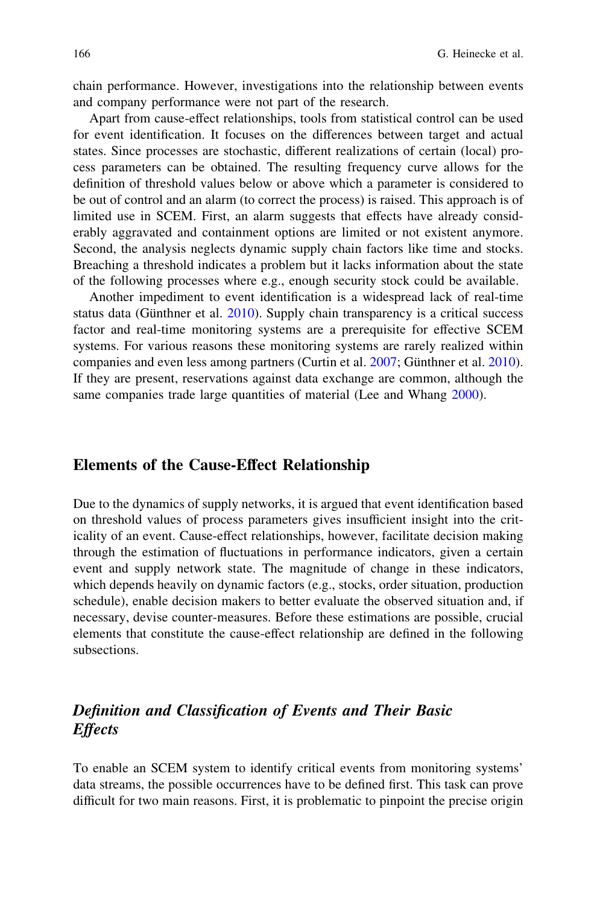chain performance. However, investigations into the relationship between events and company performance were not part of the research.

Apart from cause-effect relationships, tools from statistical control can be used for event identification. It focuses on the differences between target and actual states. Since processes are stochastic, different realizations of certain (local) process parameters can be obtained. The resulting frequency curve allows for the definition of threshold values below or above which a parameter is considered to be out of control and an alarm (to correct the process) is raised. This approach is of limited use in SCEM. First, an alarm suggests that effects have already considerably aggravated and containment options are limited or not existent anymore. Second, the analysis neglects dynamic supply chain factors like time and stocks. Breaching a threshold indicates a problem but it lacks information about the state of the following processes where e.g., enough security stock could be available.

Another impediment to event identification is a widespread lack of real-time status data (Günthner et al. [2010](#page-11-0)). Supply chain transparency is a critical success factor and real-time monitoring systems are a prerequisite for effective SCEM systems. For various reasons these monitoring systems are rarely realized within companies and even less among partners (Curtin et al. [2007](#page-11-0); Günthner et al. [2010\)](#page-11-0). If they are present, reservations against data exchange are common, although the same companies trade large quantities of material (Lee and Whang [2000\)](#page-11-0).

# Elements of the Cause-Effect Relationship

Due to the dynamics of supply networks, it is argued that event identification based on threshold values of process parameters gives insufficient insight into the criticality of an event. Cause-effect relationships, however, facilitate decision making through the estimation of fluctuations in performance indicators, given a certain event and supply network state. The magnitude of change in these indicators, which depends heavily on dynamic factors (e.g., stocks, order situation, production schedule), enable decision makers to better evaluate the observed situation and, if necessary, devise counter-measures. Before these estimations are possible, crucial elements that constitute the cause-effect relationship are defined in the following subsections.

# Definition and Classification of Events and Their Basic **Effects**

To enable an SCEM system to identify critical events from monitoring systems' data streams, the possible occurrences have to be defined first. This task can prove difficult for two main reasons. First, it is problematic to pinpoint the precise origin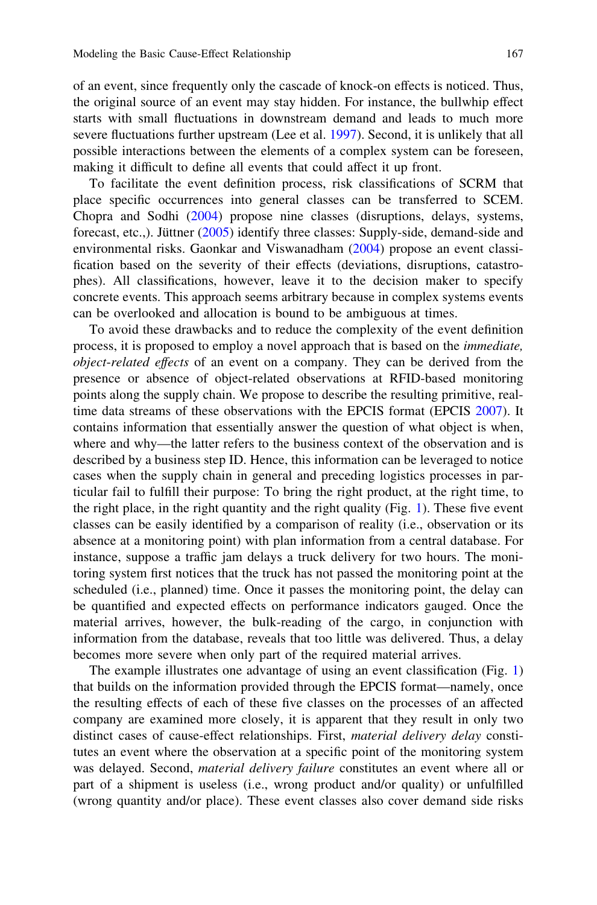of an event, since frequently only the cascade of knock-on effects is noticed. Thus, the original source of an event may stay hidden. For instance, the bullwhip effect starts with small fluctuations in downstream demand and leads to much more severe fluctuations further upstream (Lee et al. [1997\)](#page-11-0). Second, it is unlikely that all possible interactions between the elements of a complex system can be foreseen, making it difficult to define all events that could affect it up front.

To facilitate the event definition process, risk classifications of SCRM that place specific occurrences into general classes can be transferred to SCEM. Chopra and Sodhi ([2004\)](#page-10-0) propose nine classes (disruptions, delays, systems, forecast, etc.,). Jüttner ([2005\)](#page-11-0) identify three classes: Supply-side, demand-side and environmental risks. Gaonkar and Viswanadham ([2004\)](#page-11-0) propose an event classification based on the severity of their effects (deviations, disruptions, catastrophes). All classifications, however, leave it to the decision maker to specify concrete events. This approach seems arbitrary because in complex systems events can be overlooked and allocation is bound to be ambiguous at times.

To avoid these drawbacks and to reduce the complexity of the event definition process, it is proposed to employ a novel approach that is based on the immediate, object-related effects of an event on a company. They can be derived from the presence or absence of object-related observations at RFID-based monitoring points along the supply chain. We propose to describe the resulting primitive, realtime data streams of these observations with the EPCIS format (EPCIS [2007](#page-11-0)). It contains information that essentially answer the question of what object is when, where and why—the latter refers to the business context of the observation and is described by a business step ID. Hence, this information can be leveraged to notice cases when the supply chain in general and preceding logistics processes in particular fail to fulfill their purpose: To bring the right product, at the right time, to the right place, in the right quantity and the right quality (Fig. [1](#page-5-0)). These five event classes can be easily identified by a comparison of reality (i.e., observation or its absence at a monitoring point) with plan information from a central database. For instance, suppose a traffic jam delays a truck delivery for two hours. The monitoring system first notices that the truck has not passed the monitoring point at the scheduled (i.e., planned) time. Once it passes the monitoring point, the delay can be quantified and expected effects on performance indicators gauged. Once the material arrives, however, the bulk-reading of the cargo, in conjunction with information from the database, reveals that too little was delivered. Thus, a delay becomes more severe when only part of the required material arrives.

The example illustrates one advantage of using an event classification (Fig. [1](#page-5-0)) that builds on the information provided through the EPCIS format—namely, once the resulting effects of each of these five classes on the processes of an affected company are examined more closely, it is apparent that they result in only two distinct cases of cause-effect relationships. First, material delivery delay constitutes an event where the observation at a specific point of the monitoring system was delayed. Second, *material delivery failure* constitutes an event where all or part of a shipment is useless (i.e., wrong product and/or quality) or unfulfilled (wrong quantity and/or place). These event classes also cover demand side risks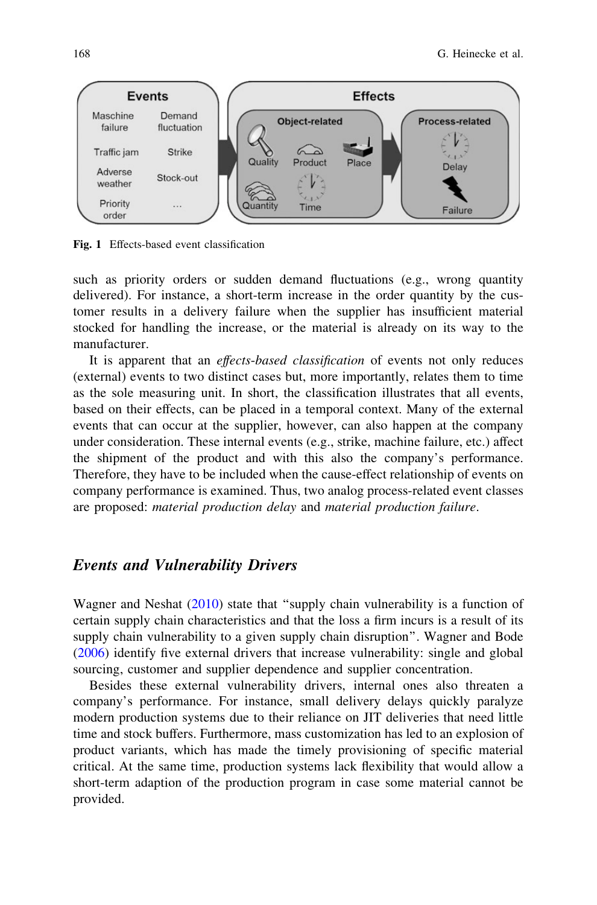<span id="page-5-0"></span>

Fig. 1 Effects-based event classification

such as priority orders or sudden demand fluctuations (e.g., wrong quantity delivered). For instance, a short-term increase in the order quantity by the customer results in a delivery failure when the supplier has insufficient material stocked for handling the increase, or the material is already on its way to the manufacturer.

It is apparent that an *effects-based classification* of events not only reduces (external) events to two distinct cases but, more importantly, relates them to time as the sole measuring unit. In short, the classification illustrates that all events, based on their effects, can be placed in a temporal context. Many of the external events that can occur at the supplier, however, can also happen at the company under consideration. These internal events (e.g., strike, machine failure, etc.) affect the shipment of the product and with this also the company's performance. Therefore, they have to be included when the cause-effect relationship of events on company performance is examined. Thus, two analog process-related event classes are proposed: material production delay and material production failure.

#### Events and Vulnerability Drivers

Wagner and Neshat [\(2010](#page-11-0)) state that "supply chain vulnerability is a function of certain supply chain characteristics and that the loss a firm incurs is a result of its supply chain vulnerability to a given supply chain disruption''. Wagner and Bode [\(2006](#page-11-0)) identify five external drivers that increase vulnerability: single and global sourcing, customer and supplier dependence and supplier concentration.

Besides these external vulnerability drivers, internal ones also threaten a company's performance. For instance, small delivery delays quickly paralyze modern production systems due to their reliance on JIT deliveries that need little time and stock buffers. Furthermore, mass customization has led to an explosion of product variants, which has made the timely provisioning of specific material critical. At the same time, production systems lack flexibility that would allow a short-term adaption of the production program in case some material cannot be provided.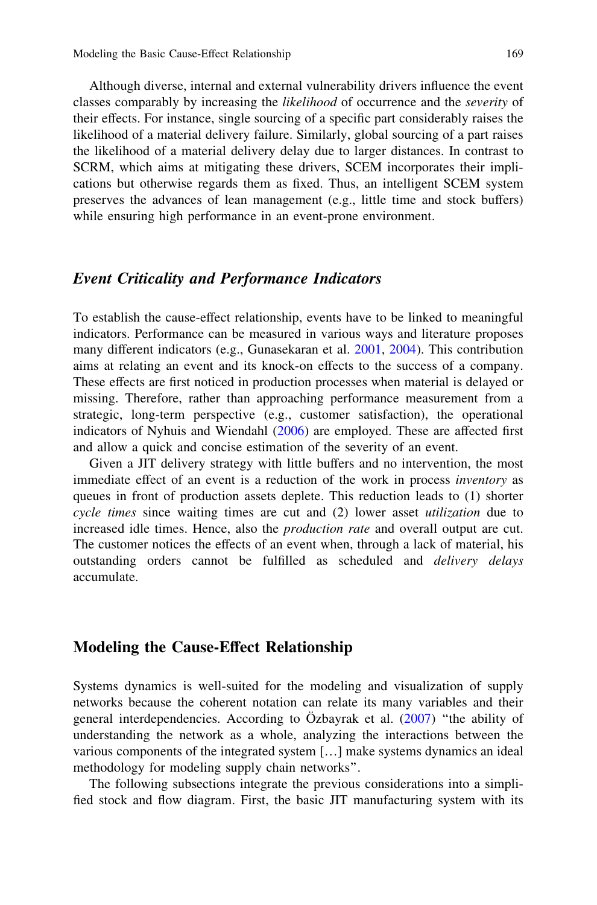Although diverse, internal and external vulnerability drivers influence the event classes comparably by increasing the likelihood of occurrence and the severity of their effects. For instance, single sourcing of a specific part considerably raises the likelihood of a material delivery failure. Similarly, global sourcing of a part raises the likelihood of a material delivery delay due to larger distances. In contrast to SCRM, which aims at mitigating these drivers, SCEM incorporates their implications but otherwise regards them as fixed. Thus, an intelligent SCEM system preserves the advances of lean management (e.g., little time and stock buffers) while ensuring high performance in an event-prone environment.

# Event Criticality and Performance Indicators

To establish the cause-effect relationship, events have to be linked to meaningful indicators. Performance can be measured in various ways and literature proposes many different indicators (e.g., Gunasekaran et al. [2001](#page-11-0), [2004\)](#page-11-0). This contribution aims at relating an event and its knock-on effects to the success of a company. These effects are first noticed in production processes when material is delayed or missing. Therefore, rather than approaching performance measurement from a strategic, long-term perspective (e.g., customer satisfaction), the operational indicators of Nyhuis and Wiendahl [\(2006](#page-11-0)) are employed. These are affected first and allow a quick and concise estimation of the severity of an event.

Given a JIT delivery strategy with little buffers and no intervention, the most immediate effect of an event is a reduction of the work in process inventory as queues in front of production assets deplete. This reduction leads to (1) shorter cycle times since waiting times are cut and (2) lower asset utilization due to increased idle times. Hence, also the production rate and overall output are cut. The customer notices the effects of an event when, through a lack of material, his outstanding orders cannot be fulfilled as scheduled and delivery delays accumulate.

#### Modeling the Cause-Effect Relationship

Systems dynamics is well-suited for the modeling and visualization of supply networks because the coherent notation can relate its many variables and their general interdependencies. According to Özbayrak et al.  $(2007)$  $(2007)$  "the ability of understanding the network as a whole, analyzing the interactions between the various components of the integrated system […] make systems dynamics an ideal methodology for modeling supply chain networks''.

The following subsections integrate the previous considerations into a simplified stock and flow diagram. First, the basic JIT manufacturing system with its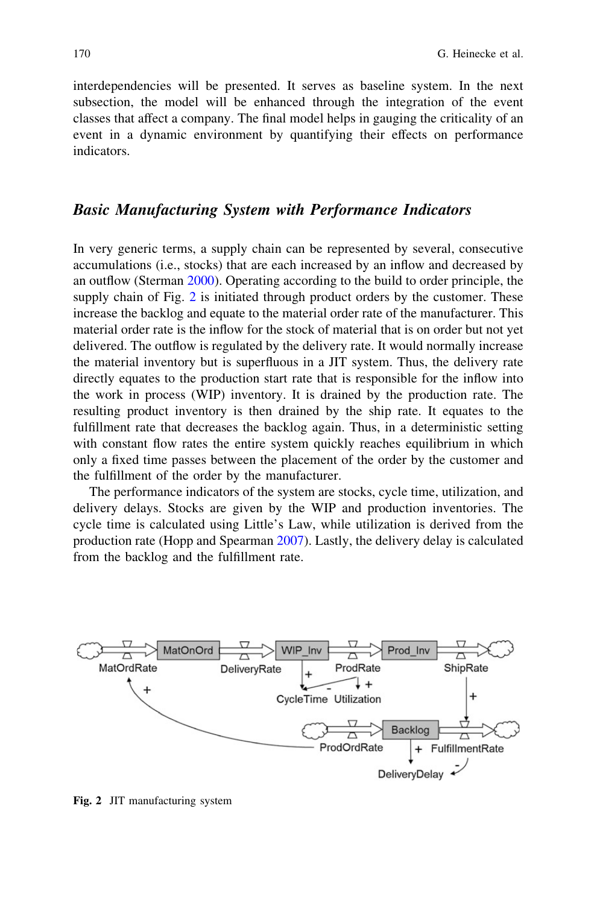interdependencies will be presented. It serves as baseline system. In the next subsection, the model will be enhanced through the integration of the event classes that affect a company. The final model helps in gauging the criticality of an event in a dynamic environment by quantifying their effects on performance indicators.

# Basic Manufacturing System with Performance Indicators

In very generic terms, a supply chain can be represented by several, consecutive accumulations (i.e., stocks) that are each increased by an inflow and decreased by an outflow (Sterman [2000\)](#page-11-0). Operating according to the build to order principle, the supply chain of Fig.  $2$  is initiated through product orders by the customer. These increase the backlog and equate to the material order rate of the manufacturer. This material order rate is the inflow for the stock of material that is on order but not yet delivered. The outflow is regulated by the delivery rate. It would normally increase the material inventory but is superfluous in a JIT system. Thus, the delivery rate directly equates to the production start rate that is responsible for the inflow into the work in process (WIP) inventory. It is drained by the production rate. The resulting product inventory is then drained by the ship rate. It equates to the fulfillment rate that decreases the backlog again. Thus, in a deterministic setting with constant flow rates the entire system quickly reaches equilibrium in which only a fixed time passes between the placement of the order by the customer and the fulfillment of the order by the manufacturer.

The performance indicators of the system are stocks, cycle time, utilization, and delivery delays. Stocks are given by the WIP and production inventories. The cycle time is calculated using Little's Law, while utilization is derived from the production rate (Hopp and Spearman [2007\)](#page-11-0). Lastly, the delivery delay is calculated from the backlog and the fulfillment rate.



Fig. 2 JIT manufacturing system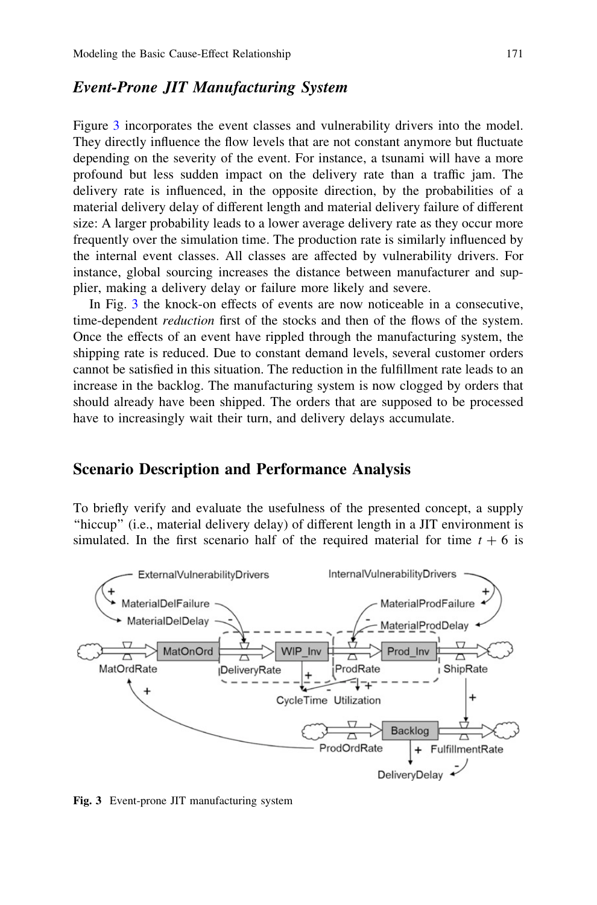# Event-Prone JIT Manufacturing System

Figure 3 incorporates the event classes and vulnerability drivers into the model. They directly influence the flow levels that are not constant anymore but fluctuate depending on the severity of the event. For instance, a tsunami will have a more profound but less sudden impact on the delivery rate than a traffic jam. The delivery rate is influenced, in the opposite direction, by the probabilities of a material delivery delay of different length and material delivery failure of different size: A larger probability leads to a lower average delivery rate as they occur more frequently over the simulation time. The production rate is similarly influenced by the internal event classes. All classes are affected by vulnerability drivers. For instance, global sourcing increases the distance between manufacturer and supplier, making a delivery delay or failure more likely and severe.

In Fig. 3 the knock-on effects of events are now noticeable in a consecutive, time-dependent *reduction* first of the stocks and then of the flows of the system. Once the effects of an event have rippled through the manufacturing system, the shipping rate is reduced. Due to constant demand levels, several customer orders cannot be satisfied in this situation. The reduction in the fulfillment rate leads to an increase in the backlog. The manufacturing system is now clogged by orders that should already have been shipped. The orders that are supposed to be processed have to increasingly wait their turn, and delivery delays accumulate.

# Scenario Description and Performance Analysis

To briefly verify and evaluate the usefulness of the presented concept, a supply ''hiccup'' (i.e., material delivery delay) of different length in a JIT environment is simulated. In the first scenario half of the required material for time  $t + 6$  is



Fig. 3 Event-prone JIT manufacturing system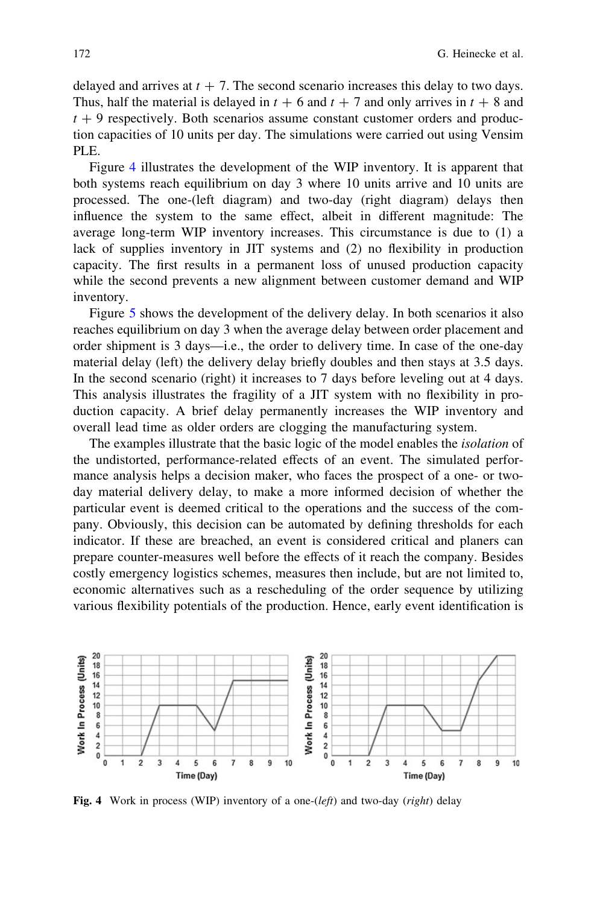delayed and arrives at  $t + 7$ . The second scenario increases this delay to two days. Thus, half the material is delayed in  $t + 6$  and  $t + 7$  and only arrives in  $t + 8$  and  $t + 9$  respectively. Both scenarios assume constant customer orders and production capacities of 10 units per day. The simulations were carried out using Vensim PLE.

Figure 4 illustrates the development of the WIP inventory. It is apparent that both systems reach equilibrium on day 3 where 10 units arrive and 10 units are processed. The one-(left diagram) and two-day (right diagram) delays then influence the system to the same effect, albeit in different magnitude: The average long-term WIP inventory increases. This circumstance is due to (1) a lack of supplies inventory in JIT systems and (2) no flexibility in production capacity. The first results in a permanent loss of unused production capacity while the second prevents a new alignment between customer demand and WIP inventory.

Figure [5](#page-10-0) shows the development of the delivery delay. In both scenarios it also reaches equilibrium on day 3 when the average delay between order placement and order shipment is 3 days—i.e., the order to delivery time. In case of the one-day material delay (left) the delivery delay briefly doubles and then stays at 3.5 days. In the second scenario (right) it increases to 7 days before leveling out at 4 days. This analysis illustrates the fragility of a JIT system with no flexibility in production capacity. A brief delay permanently increases the WIP inventory and overall lead time as older orders are clogging the manufacturing system.

The examples illustrate that the basic logic of the model enables the *isolation* of the undistorted, performance-related effects of an event. The simulated performance analysis helps a decision maker, who faces the prospect of a one- or twoday material delivery delay, to make a more informed decision of whether the particular event is deemed critical to the operations and the success of the company. Obviously, this decision can be automated by defining thresholds for each indicator. If these are breached, an event is considered critical and planers can prepare counter-measures well before the effects of it reach the company. Besides costly emergency logistics schemes, measures then include, but are not limited to, economic alternatives such as a rescheduling of the order sequence by utilizing various flexibility potentials of the production. Hence, early event identification is



Fig. 4 Work in process (WIP) inventory of a one- $(left)$  and two-day (*right*) delay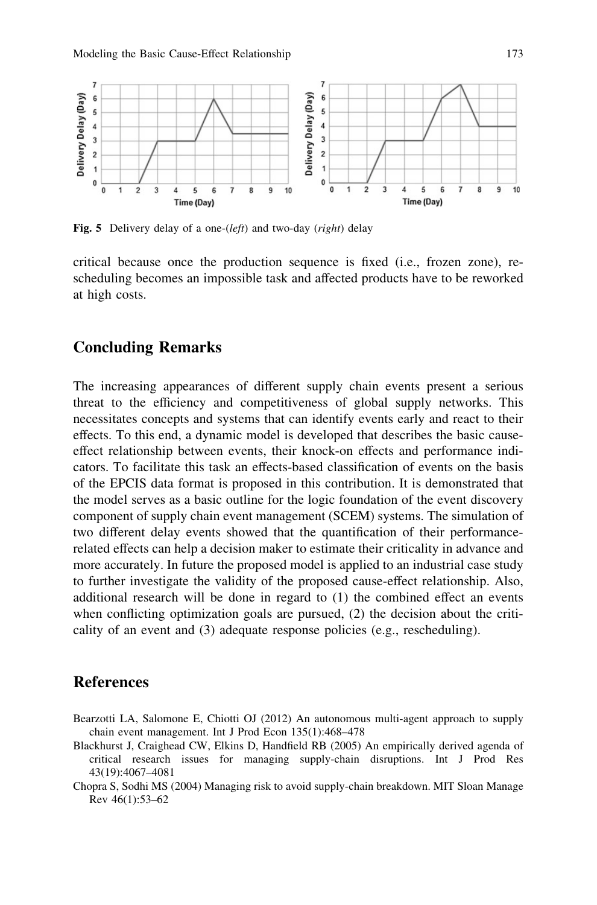<span id="page-10-0"></span>

Fig. 5 Delivery delay of a one-(*left*) and two-day (*right*) delay

critical because once the production sequence is fixed (i.e., frozen zone), rescheduling becomes an impossible task and affected products have to be reworked at high costs.

# Concluding Remarks

The increasing appearances of different supply chain events present a serious threat to the efficiency and competitiveness of global supply networks. This necessitates concepts and systems that can identify events early and react to their effects. To this end, a dynamic model is developed that describes the basic causeeffect relationship between events, their knock-on effects and performance indicators. To facilitate this task an effects-based classification of events on the basis of the EPCIS data format is proposed in this contribution. It is demonstrated that the model serves as a basic outline for the logic foundation of the event discovery component of supply chain event management (SCEM) systems. The simulation of two different delay events showed that the quantification of their performancerelated effects can help a decision maker to estimate their criticality in advance and more accurately. In future the proposed model is applied to an industrial case study to further investigate the validity of the proposed cause-effect relationship. Also, additional research will be done in regard to (1) the combined effect an events when conflicting optimization goals are pursued, (2) the decision about the criticality of an event and (3) adequate response policies (e.g., rescheduling).

## References

- Bearzotti LA, Salomone E, Chiotti OJ (2012) An autonomous multi-agent approach to supply chain event management. Int J Prod Econ 135(1):468–478
- Blackhurst J, Craighead CW, Elkins D, Handfield RB (2005) An empirically derived agenda of critical research issues for managing supply-chain disruptions. Int J Prod Res 43(19):4067–4081
- Chopra S, Sodhi MS (2004) Managing risk to avoid supply-chain breakdown. MIT Sloan Manage Rev 46(1):53–62